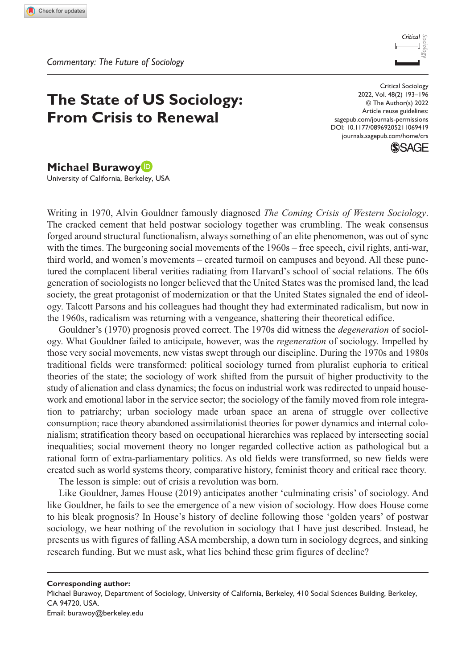

# **The State of US Sociology: From Crisis to Renewal**

DOI: 10.1177/08969205211069419 Critical Sociology 2022, Vol. 48(2) 193–196 © The Author(s) 2022 Article reuse guidelines: [sagepub.com/journals-permissions](https://uk.sagepub.com/en-gb/journals-permissions) [journals.sagepub.com/home/crs](https://journals.sagepub.com/home/crs)



# **Michael Burawoy**

University of California, Berkeley, USA

Writing in 1970, Alvin Gouldner famously diagnosed *The Coming Crisis of Western Sociology*. The cracked cement that held postwar sociology together was crumbling. The weak consensus forged around structural functionalism, always something of an elite phenomenon, was out of sync with the times. The burgeoning social movements of the 1960s – free speech, civil rights, anti-war, third world, and women's movements – created turmoil on campuses and beyond. All these punctured the complacent liberal verities radiating from Harvard's school of social relations. The 60s generation of sociologists no longer believed that the United States was the promised land, the lead society, the great protagonist of modernization or that the United States signaled the end of ideology. Talcott Parsons and his colleagues had thought they had exterminated radicalism, but now in the 1960s, radicalism was returning with a vengeance, shattering their theoretical edifice.

Gouldner's (1970) prognosis proved correct. The 1970s did witness the *degeneration* of sociology. What Gouldner failed to anticipate, however, was the *regeneration* of sociology. Impelled by those very social movements, new vistas swept through our discipline. During the 1970s and 1980s traditional fields were transformed: political sociology turned from pluralist euphoria to critical theories of the state; the sociology of work shifted from the pursuit of higher productivity to the study of alienation and class dynamics; the focus on industrial work was redirected to unpaid housework and emotional labor in the service sector; the sociology of the family moved from role integration to patriarchy; urban sociology made urban space an arena of struggle over collective consumption; race theory abandoned assimilationist theories for power dynamics and internal colonialism; stratification theory based on occupational hierarchies was replaced by intersecting social inequalities; social movement theory no longer regarded collective action as pathological but a rational form of extra-parliamentary politics. As old fields were transformed, so new fields were created such as world systems theory, comparative history, feminist theory and critical race theory.

The lesson is simple: out of crisis a revolution was born.

Like Gouldner, James House (2019) anticipates another 'culminating crisis' of sociology. And like Gouldner, he fails to see the emergence of a new vision of sociology. How does House come to his bleak prognosis? In House's history of decline following those 'golden years' of postwar sociology, we hear nothing of the revolution in sociology that I have just described. Instead, he presents us with figures of falling ASA membership, a down turn in sociology degrees, and sinking research funding. But we must ask, what lies behind these grim figures of decline?

**Corresponding author:** Michael Burawoy, Department of Sociology, University of California, Berkeley, 410 Social Sciences Building, Berkeley, CA 94720, USA. Email: [burawoy@berkeley.edu](mailto:burawoy@berkeley.edu)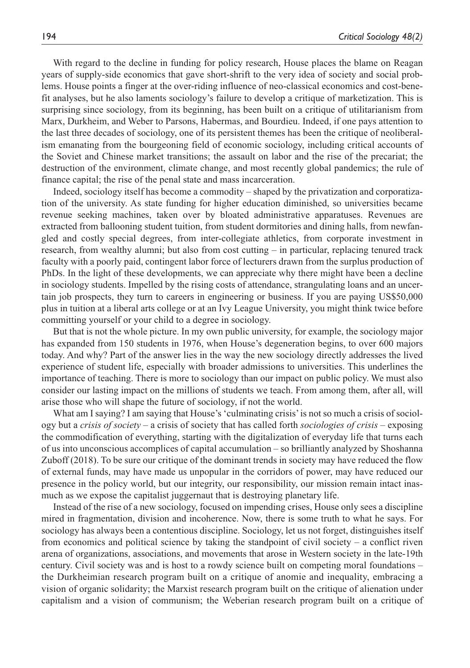With regard to the decline in funding for policy research, House places the blame on Reagan years of supply-side economics that gave short-shrift to the very idea of society and social problems. House points a finger at the over-riding influence of neo-classical economics and cost-benefit analyses, but he also laments sociology's failure to develop a critique of marketization. This is surprising since sociology, from its beginning, has been built on a critique of utilitarianism from Marx, Durkheim, and Weber to Parsons, Habermas, and Bourdieu. Indeed, if one pays attention to the last three decades of sociology, one of its persistent themes has been the critique of neoliberalism emanating from the bourgeoning field of economic sociology, including critical accounts of the Soviet and Chinese market transitions; the assault on labor and the rise of the precariat; the destruction of the environment, climate change, and most recently global pandemics; the rule of finance capital; the rise of the penal state and mass incarceration.

Indeed, sociology itself has become a commodity – shaped by the privatization and corporatization of the university. As state funding for higher education diminished, so universities became revenue seeking machines, taken over by bloated administrative apparatuses. Revenues are extracted from ballooning student tuition, from student dormitories and dining halls, from newfangled and costly special degrees, from inter-collegiate athletics, from corporate investment in research, from wealthy alumni; but also from cost cutting – in particular, replacing tenured track faculty with a poorly paid, contingent labor force of lecturers drawn from the surplus production of PhDs. In the light of these developments, we can appreciate why there might have been a decline in sociology students. Impelled by the rising costs of attendance, strangulating loans and an uncertain job prospects, they turn to careers in engineering or business. If you are paying US\$50,000 plus in tuition at a liberal arts college or at an Ivy League University, you might think twice before committing yourself or your child to a degree in sociology.

But that is not the whole picture. In my own public university, for example, the sociology major has expanded from 150 students in 1976, when House's degeneration begins, to over 600 majors today. And why? Part of the answer lies in the way the new sociology directly addresses the lived experience of student life, especially with broader admissions to universities. This underlines the importance of teaching. There is more to sociology than our impact on public policy. We must also consider our lasting impact on the millions of students we teach. From among them, after all, will arise those who will shape the future of sociology, if not the world.

What am I saying? I am saying that House's 'culminating crisis' is not so much a crisis of sociology but a *crisis of society* – a crisis of society that has called forth *sociologies of crisis* – exposing the commodification of everything, starting with the digitalization of everyday life that turns each of us into unconscious accomplices of capital accumulation – so brilliantly analyzed by Shoshanna Zuboff (2018). To be sure our critique of the dominant trends in society may have reduced the flow of external funds, may have made us unpopular in the corridors of power, may have reduced our presence in the policy world, but our integrity, our responsibility, our mission remain intact inasmuch as we expose the capitalist juggernaut that is destroying planetary life.

Instead of the rise of a new sociology, focused on impending crises, House only sees a discipline mired in fragmentation, division and incoherence. Now, there is some truth to what he says. For sociology has always been a contentious discipline. Sociology, let us not forget, distinguishes itself from economics and political science by taking the standpoint of civil society – a conflict riven arena of organizations, associations, and movements that arose in Western society in the late-19th century. Civil society was and is host to a rowdy science built on competing moral foundations – the Durkheimian research program built on a critique of anomie and inequality, embracing a vision of organic solidarity; the Marxist research program built on the critique of alienation under capitalism and a vision of communism; the Weberian research program built on a critique of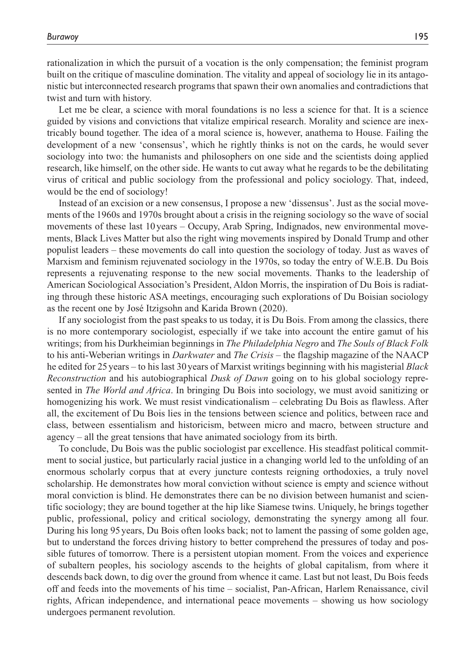rationalization in which the pursuit of a vocation is the only compensation; the feminist program built on the critique of masculine domination. The vitality and appeal of sociology lie in its antagonistic but interconnected research programs that spawn their own anomalies and contradictions that twist and turn with history.

Let me be clear, a science with moral foundations is no less a science for that. It is a science guided by visions and convictions that vitalize empirical research. Morality and science are inextricably bound together. The idea of a moral science is, however, anathema to House. Failing the development of a new 'consensus', which he rightly thinks is not on the cards, he would sever sociology into two: the humanists and philosophers on one side and the scientists doing applied research, like himself, on the other side. He wants to cut away what he regards to be the debilitating virus of critical and public sociology from the professional and policy sociology. That, indeed, would be the end of sociology!

Instead of an excision or a new consensus, I propose a new 'dissensus'. Just as the social movements of the 1960s and 1970s brought about a crisis in the reigning sociology so the wave of social movements of these last 10 years – Occupy, Arab Spring, Indignados, new environmental movements, Black Lives Matter but also the right wing movements inspired by Donald Trump and other populist leaders – these movements do call into question the sociology of today. Just as waves of Marxism and feminism rejuvenated sociology in the 1970s, so today the entry of W.E.B. Du Bois represents a rejuvenating response to the new social movements. Thanks to the leadership of American Sociological Association's President, Aldon Morris, the inspiration of Du Bois is radiating through these historic ASA meetings, encouraging such explorations of Du Boisian sociology as the recent one by José Itzigsohn and Karida Brown (2020).

If any sociologist from the past speaks to us today, it is Du Bois. From among the classics, there is no more contemporary sociologist, especially if we take into account the entire gamut of his writings; from his Durkheimian beginnings in *The Philadelphia Negro* and *The Souls of Black Folk* to his anti-Weberian writings in *Darkwater* and *The Crisis* – the flagship magazine of the NAACP he edited for 25years – to his last 30years of Marxist writings beginning with his magisterial *Black Reconstruction* and his autobiographical *Dusk of Dawn* going on to his global sociology represented in *The World and Africa*. In bringing Du Bois into sociology, we must avoid sanitizing or homogenizing his work. We must resist vindicationalism – celebrating Du Bois as flawless. After all, the excitement of Du Bois lies in the tensions between science and politics, between race and class, between essentialism and historicism, between micro and macro, between structure and agency – all the great tensions that have animated sociology from its birth.

To conclude, Du Bois was the public sociologist par excellence. His steadfast political commitment to social justice, but particularly racial justice in a changing world led to the unfolding of an enormous scholarly corpus that at every juncture contests reigning orthodoxies, a truly novel scholarship. He demonstrates how moral conviction without science is empty and science without moral conviction is blind. He demonstrates there can be no division between humanist and scientific sociology; they are bound together at the hip like Siamese twins. Uniquely, he brings together public, professional, policy and critical sociology, demonstrating the synergy among all four. During his long 95years, Du Bois often looks back; not to lament the passing of some golden age, but to understand the forces driving history to better comprehend the pressures of today and possible futures of tomorrow. There is a persistent utopian moment. From the voices and experience of subaltern peoples, his sociology ascends to the heights of global capitalism, from where it descends back down, to dig over the ground from whence it came. Last but not least, Du Bois feeds off and feeds into the movements of his time – socialist, Pan-African, Harlem Renaissance, civil rights, African independence, and international peace movements – showing us how sociology undergoes permanent revolution.